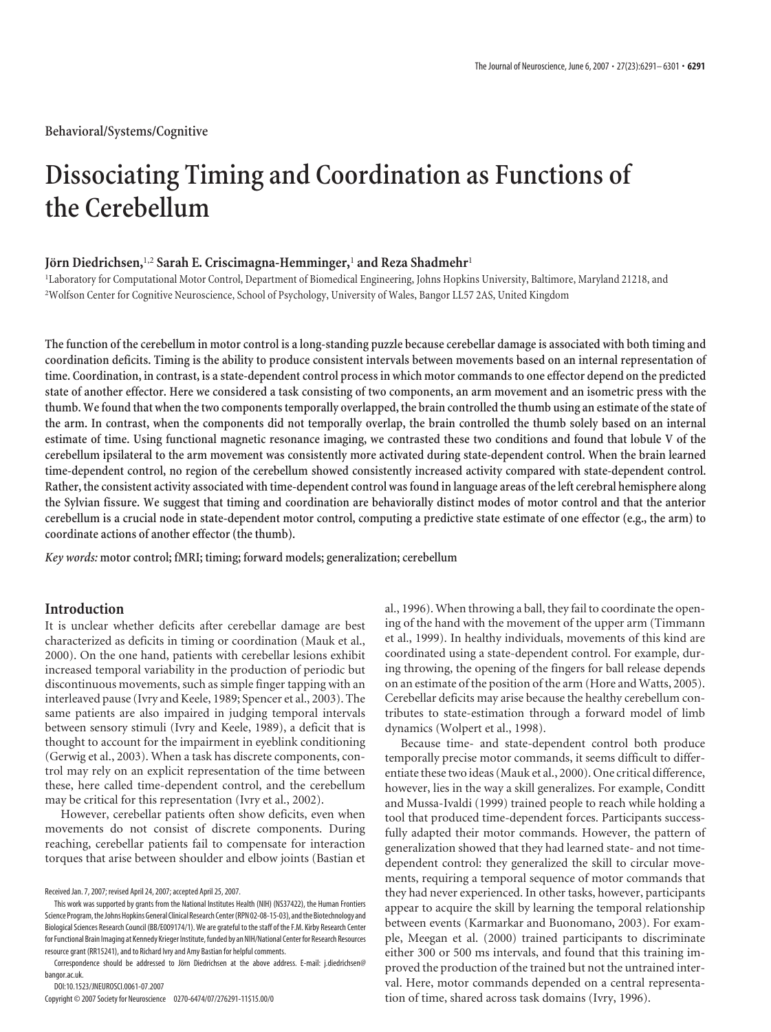# **Dissociating Timing and Coordination as Functions of the Cerebellum**

## **Jo¨rn Diedrichsen,**1,2 **Sarah E. Criscimagna-Hemminger,**<sup>1</sup> **and Reza Shadmehr**<sup>1</sup>

1 Laboratory for Computational Motor Control, Department of Biomedical Engineering, Johns Hopkins University, Baltimore, Maryland 21218, and 2 Wolfson Center for Cognitive Neuroscience, School of Psychology, University of Wales, Bangor LL57 2AS, United Kingdom

The function of the cerebellum in motor control is a long-standing puzzle because cerebellar damage is associated with both timing and coordination deficits. Timing is the ability to produce consistent intervals between movements based on an internal representation of time. Coordination, in contrast, is a state-dependent control process in which motor commands to one effector depend on the predicted state of another effector. Here we considered a task consisting of two components, an arm movement and an isometric press with the thumb. We found that when the two components temporally overlapped, the brain controlled the thumb using an estimate of the state of the arm. In contrast, when the components did not temporally overlap, the brain controlled the thumb solely based on an internal estimate of time. Using functional magnetic resonance imaging, we contrasted these two conditions and found that lobule V of the cerebellum ipsilateral to the arm movement was consistently more activated during state-dependent control. When the brain learned time-dependent control, no region of the cerebellum showed consistently increased activity compared with state-dependent control. Rather, the consistent activity associated with time-dependent control was found in language areas of the left cerebral hemisphere along the Sylvian fissure. We suggest that timing and coordination are behaviorally distinct modes of motor control and that the anterior cerebellum is a crucial node in state-dependent motor control, computing a predictive state estimate of one effector (e.g., the arm) to **coordinate actions of another effector (the thumb).**

*Key words:* **motorcontrol; fMRI; timing; forward models; generalization;cerebellum**

# **Introduction**

It is unclear whether deficits after cerebellar damage are best characterized as deficits in timing or coordination (Mauk et al., 2000). On the one hand, patients with cerebellar lesions exhibit increased temporal variability in the production of periodic but discontinuous movements, such as simple finger tapping with an interleaved pause (Ivry and Keele, 1989; Spencer et al., 2003). The same patients are also impaired in judging temporal intervals between sensory stimuli (Ivry and Keele, 1989), a deficit that is thought to account for the impairment in eyeblink conditioning (Gerwig et al., 2003). When a task has discrete components, control may rely on an explicit representation of the time between these, here called time-dependent control, and the cerebellum may be critical for this representation (Ivry et al., 2002).

However, cerebellar patients often show deficits, even when movements do not consist of discrete components. During reaching, cerebellar patients fail to compensate for interaction torques that arise between shoulder and elbow joints (Bastian et

This work was supported by grants from the National Institutes Health (NIH) (NS37422), the Human Frontiers Science Program, the Johns Hopkins General Clinical Research Center (RPN02-08-15-03), and the Biotechnology and Biological Sciences Research Council (BB/E009174/1). We are grateful to the staff of the F.M. Kirby Research Center for Functional Brain Imaging at Kennedy Krieger Institute, funded by an NIH/National Center for Research Resources resource grant (RR15241), and to Richard Ivry and Amy Bastian for helpful comments.

Correspondence should be addressed to Jörn Diedrichsen at the above address. E-mail: j.diedrichsen@ bangor.ac.uk.

DOI:10.1523/JNEUROSCI.0061-07.2007 Copyright©2007Societyfor Neuroscience 0270-6474/07/276291-11\$15.00/0 al., 1996). When throwing a ball, they fail to coordinate the opening of the hand with the movement of the upper arm (Timmann et al., 1999). In healthy individuals, movements of this kind are coordinated using a state-dependent control. For example, during throwing, the opening of the fingers for ball release depends on an estimate of the position of the arm (Hore and Watts, 2005). Cerebellar deficits may arise because the healthy cerebellum contributes to state-estimation through a forward model of limb dynamics (Wolpert et al., 1998).

Because time- and state-dependent control both produce temporally precise motor commands, it seems difficult to differentiate these two ideas(Mauk et al., 2000). One critical difference, however, lies in the way a skill generalizes. For example, Conditt and Mussa-Ivaldi (1999) trained people to reach while holding a tool that produced time-dependent forces. Participants successfully adapted their motor commands. However, the pattern of generalization showed that they had learned state- and not timedependent control: they generalized the skill to circular movements, requiring a temporal sequence of motor commands that they had never experienced. In other tasks, however, participants appear to acquire the skill by learning the temporal relationship between events (Karmarkar and Buonomano, 2003). For example, Meegan et al. (2000) trained participants to discriminate either 300 or 500 ms intervals, and found that this training improved the production of the trained but not the untrained interval. Here, motor commands depended on a central representation of time, shared across task domains (Ivry, 1996).

Received Jan. 7, 2007; revised April 24, 2007; accepted April 25, 2007.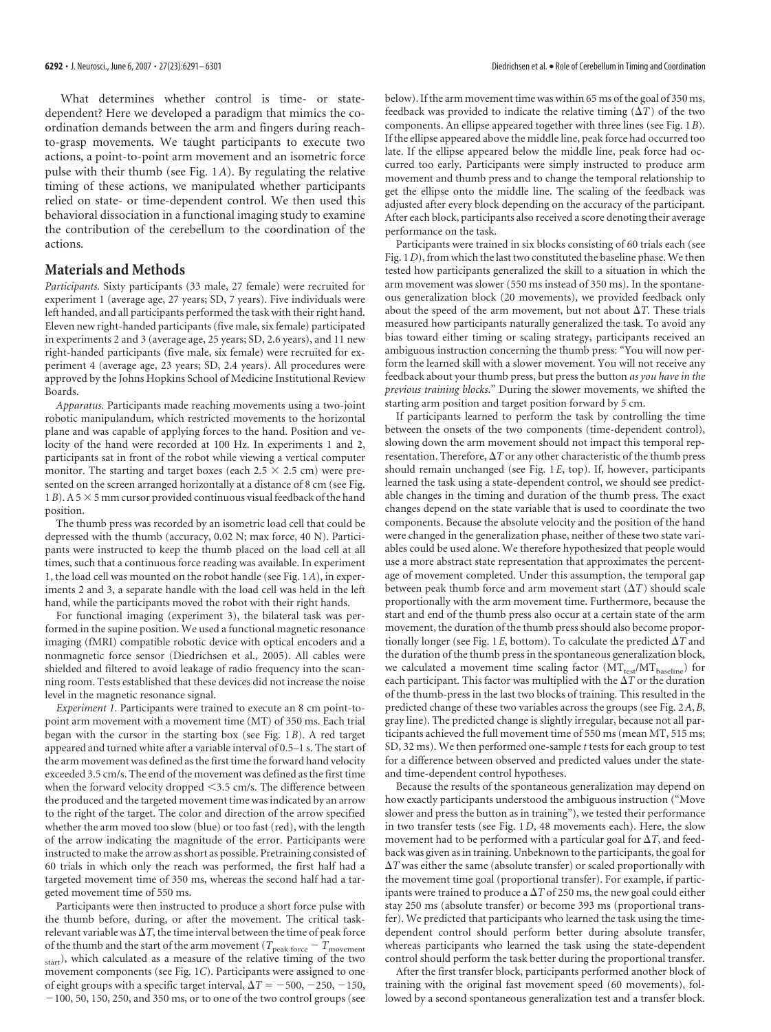What determines whether control is time- or statedependent? Here we developed a paradigm that mimics the coordination demands between the arm and fingers during reachto-grasp movements. We taught participants to execute two actions, a point-to-point arm movement and an isometric force pulse with their thumb (see Fig. 1*A*). By regulating the relative timing of these actions, we manipulated whether participants relied on state- or time-dependent control. We then used this behavioral dissociation in a functional imaging study to examine the contribution of the cerebellum to the coordination of the actions.

# **Materials and Methods**

*Participants.* Sixty participants (33 male, 27 female) were recruited for experiment 1 (average age, 27 years; SD, 7 years). Five individuals were left handed, and all participants performed the task with their right hand. Eleven new right-handed participants (five male, six female) participated in experiments 2 and 3 (average age, 25 years; SD, 2.6 years), and 11 new right-handed participants (five male, six female) were recruited for experiment 4 (average age, 23 years; SD, 2.4 years). All procedures were approved by the Johns Hopkins School of Medicine Institutional Review Boards.

*Apparatus.* Participants made reaching movements using a two-joint robotic manipulandum, which restricted movements to the horizontal plane and was capable of applying forces to the hand. Position and velocity of the hand were recorded at 100 Hz. In experiments 1 and 2, participants sat in front of the robot while viewing a vertical computer monitor. The starting and target boxes (each  $2.5 \times 2.5$  cm) were presented on the screen arranged horizontally at a distance of 8 cm (see Fig. 1*B*). A 5  $\times$  5 mm cursor provided continuous visual feedback of the hand position.

The thumb press was recorded by an isometric load cell that could be depressed with the thumb (accuracy, 0.02 N; max force, 40 N). Participants were instructed to keep the thumb placed on the load cell at all times, such that a continuous force reading was available. In experiment 1, the load cell was mounted on the robot handle (see Fig. 1*A*), in experiments 2 and 3, a separate handle with the load cell was held in the left hand, while the participants moved the robot with their right hands.

For functional imaging (experiment 3), the bilateral task was performed in the supine position. We used a functional magnetic resonance imaging (fMRI) compatible robotic device with optical encoders and a nonmagnetic force sensor (Diedrichsen et al., 2005). All cables were shielded and filtered to avoid leakage of radio frequency into the scanning room. Tests established that these devices did not increase the noise level in the magnetic resonance signal.

*Experiment 1.* Participants were trained to execute an 8 cm point-topoint arm movement with a movement time (MT) of 350 ms. Each trial began with the cursor in the starting box (see Fig. 1*B*). A red target appeared and turned white after a variable interval of 0.5–1 s. The start of the arm movement was defined as the first time the forward hand velocity exceeded 3.5 cm/s. The end of the movement was defined asthe first time when the forward velocity dropped  $<$ 3.5 cm/s. The difference between the produced and the targeted movement time was indicated by an arrow to the right of the target. The color and direction of the arrow specified whether the arm moved too slow (blue) or too fast (red), with the length of the arrow indicating the magnitude of the error. Participants were instructed to make the arrowasshort as possible. Pretraining consisted of 60 trials in which only the reach was performed, the first half had a targeted movement time of 350 ms, whereas the second half had a targeted movement time of 550 ms.

Participants were then instructed to produce a short force pulse with the thumb before, during, or after the movement. The critical taskrelevant variable was  $\Delta T$ , the time interval between the time of peak force of the thumb and the start of the arm movement ( $T_{\rm peak\, force}$  –  $T_{\rm movement}$ start), which calculated as a measure of the relative timing of the two movement components (see Fig. 1*C*). Participants were assigned to one of eight groups with a specific target interval,  $\Delta T = -500, -250, -150,$  $-100$ , 50, 150, 250, and 350 ms, or to one of the two control groups (see below). If the arm movement time was within 65 ms of the goal of 350 ms, feedback was provided to indicate the relative timing  $(\Delta T)$  of the two components. An ellipse appeared together with three lines (see Fig. 1*B*). If the ellipse appeared above the middle line, peak force had occurred too late. If the ellipse appeared below the middle line, peak force had occurred too early. Participants were simply instructed to produce arm movement and thumb press and to change the temporal relationship to get the ellipse onto the middle line. The scaling of the feedback was adjusted after every block depending on the accuracy of the participant. After each block, participants also received a score denoting their average performance on the task.

Participants were trained in six blocks consisting of 60 trials each (see Fig. 1*D*), from which the last two constituted the baseline phase. We then tested how participants generalized the skill to a situation in which the arm movement was slower (550 ms instead of 350 ms). In the spontaneous generalization block (20 movements), we provided feedback only about the speed of the arm movement, but not about  $\Delta T$ . These trials measured how participants naturally generalized the task. To avoid any bias toward either timing or scaling strategy, participants received an ambiguous instruction concerning the thumb press: "You will now perform the learned skill with a slower movement. You will not receive any feedback about your thumb press, but press the button *as you have in the previous training blocks*." During the slower movements, we shifted the starting arm position and target position forward by 5 cm.

If participants learned to perform the task by controlling the time between the onsets of the two components (time-dependent control), slowing down the arm movement should not impact this temporal representation. Therefore,  $\Delta T$  or any other characteristic of the thumb press should remain unchanged (see Fig. 1*E*, top). If, however, participants learned the task using a state-dependent control, we should see predictable changes in the timing and duration of the thumb press. The exact changes depend on the state variable that is used to coordinate the two components. Because the absolute velocity and the position of the hand were changed in the generalization phase, neither of these two state variables could be used alone. We therefore hypothesized that people would use a more abstract state representation that approximates the percentage of movement completed. Under this assumption, the temporal gap between peak thumb force and arm movement start  $(\Delta T)$  should scale proportionally with the arm movement time. Furthermore, because the start and end of the thumb press also occur at a certain state of the arm movement, the duration of the thumb press should also become proportionally longer (see Fig. 1E, bottom). To calculate the predicted  $\Delta T$  and the duration of the thumb press in the spontaneous generalization block, we calculated a movement time scaling factor (MTtest/MT<sub>baseline</sub>) for each participant. This factor was multiplied with the  $\Delta T$  or the duration of the thumb-press in the last two blocks of training. This resulted in the predicted change of these two variables across the groups (see Fig. 2*A*,*B*, gray line). The predicted change is slightly irregular, because not all participants achieved the full movement time of 550 ms (mean MT, 515 ms; SD, 32 ms). We then performed one-sample *t* tests for each group to test for a difference between observed and predicted values under the stateand time-dependent control hypotheses.

Because the results of the spontaneous generalization may depend on how exactly participants understood the ambiguous instruction ("Move slower and press the button as in training"), we tested their performance in two transfer tests (see Fig. 1*D*, 48 movements each). Here, the slow movement had to be performed with a particular goal for  $\Delta T$ , and feedbackwas given asin training. Unbeknown to the participants, the goal for  $\Delta T$  was either the same (absolute transfer) or scaled proportionally with the movement time goal (proportional transfer). For example, if participants were trained to produce a  $\Delta T$  of 250 ms, the new goal could either stay 250 ms (absolute transfer) or become 393 ms (proportional transfer). We predicted that participants who learned the task using the timedependent control should perform better during absolute transfer, whereas participants who learned the task using the state-dependent control should perform the task better during the proportional transfer.

After the first transfer block, participants performed another block of training with the original fast movement speed (60 movements), followed by a second spontaneous generalization test and a transfer block.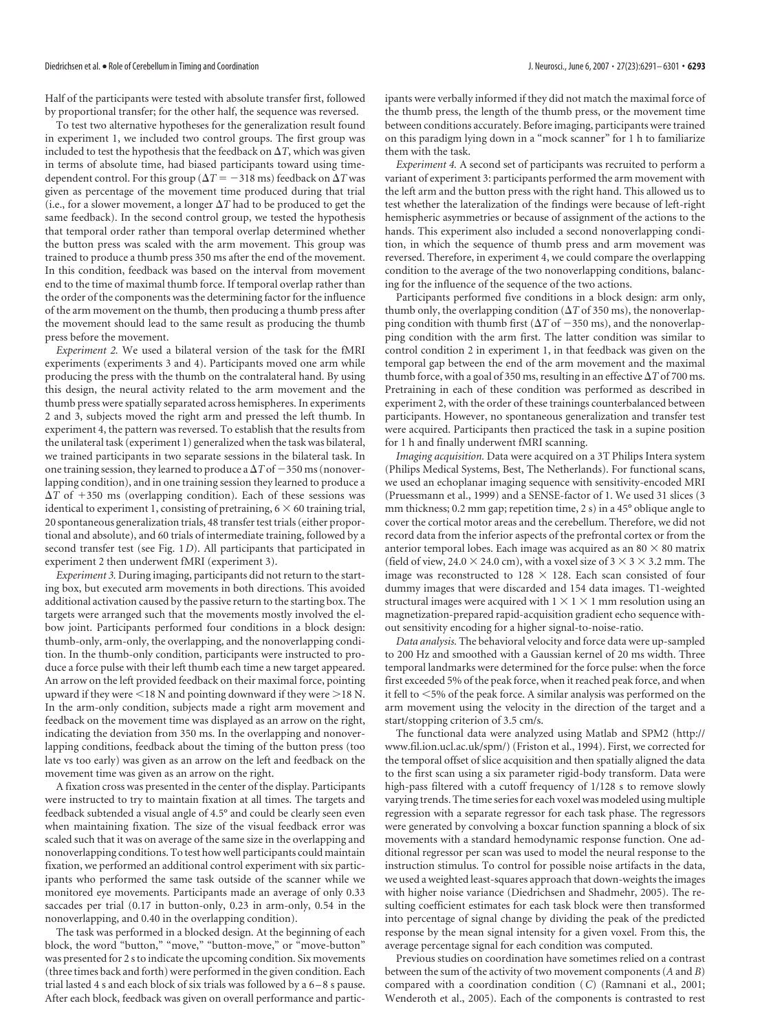## Diedrichsen et al. • Role of Cerebellum in Timing and Coordination **J. Neurosci., June6, 2007** • 27(23):6291–6301 • **6293**

Half of the participants were tested with absolute transfer first, followed by proportional transfer; for the other half, the sequence was reversed.

To test two alternative hypotheses for the generalization result found in experiment 1, we included two control groups. The first group was included to test the hypothesis that the feedback on  $\Delta T$ , which was given in terms of absolute time, had biased participants toward using timedependent control. For this group ( $\Delta T = -318$  ms) feedback on  $\Delta T$  was given as percentage of the movement time produced during that trial (i.e., for a slower movement, a longer  $\Delta T$  had to be produced to get the same feedback). In the second control group, we tested the hypothesis that temporal order rather than temporal overlap determined whether the button press was scaled with the arm movement. This group was trained to produce a thumb press 350 ms after the end of the movement. In this condition, feedback was based on the interval from movement end to the time of maximal thumb force. If temporal overlap rather than the order of the components was the determining factor for the influence of the arm movement on the thumb, then producing a thumb press after the movement should lead to the same result as producing the thumb press before the movement.

*Experiment 2.* We used a bilateral version of the task for the fMRI experiments (experiments 3 and 4). Participants moved one arm while producing the press with the thumb on the contralateral hand. By using this design, the neural activity related to the arm movement and the thumb press were spatially separated across hemispheres. In experiments 2 and 3, subjects moved the right arm and pressed the left thumb. In experiment 4, the pattern was reversed. To establish that the results from the unilateral task (experiment 1) generalizedwhen the taskwas bilateral, we trained participants in two separate sessions in the bilateral task. In one training session, they learned to produce a  $\Delta T$  of  $-350$  ms (nonoverlapping condition), and in one training session they learned to produce a  $\Delta T$  of  $+350$  ms (overlapping condition). Each of these sessions was identical to experiment 1, consisting of pretraining,  $6 \times 60$  training trial, 20 spontaneous generalization trials, 48 transfer test trials (either proportional and absolute), and 60 trials of intermediate training, followed by a second transfer test (see Fig. 1*D*). All participants that participated in experiment 2 then underwent fMRI (experiment 3).

*Experiment 3.* During imaging, participants did not return to the starting box, but executed arm movements in both directions. This avoided additional activation caused by the passive return to the starting box. The targets were arranged such that the movements mostly involved the elbow joint. Participants performed four conditions in a block design: thumb-only, arm-only, the overlapping, and the nonoverlapping condition. In the thumb-only condition, participants were instructed to produce a force pulse with their left thumb each time a new target appeared. An arrow on the left provided feedback on their maximal force, pointing upward if they were  $\leq$  18 N and pointing downward if they were  $\geq$  18 N. In the arm-only condition, subjects made a right arm movement and feedback on the movement time was displayed as an arrow on the right, indicating the deviation from 350 ms. In the overlapping and nonoverlapping conditions, feedback about the timing of the button press (too late vs too early) was given as an arrow on the left and feedback on the movement time was given as an arrow on the right.

A fixation cross was presented in the center of the display. Participants were instructed to try to maintain fixation at all times. The targets and feedback subtended a visual angle of 4.5° and could be clearly seen even when maintaining fixation. The size of the visual feedback error was scaled such that it was on average of the same size in the overlapping and nonoverlapping conditions. To test howwell participants could maintain fixation, we performed an additional control experiment with six participants who performed the same task outside of the scanner while we monitored eye movements. Participants made an average of only 0.33 saccades per trial (0.17 in button-only, 0.23 in arm-only, 0.54 in the nonoverlapping, and 0.40 in the overlapping condition).

The task was performed in a blocked design. At the beginning of each block, the word "button," "move," "button-move," or "move-button" was presented for 2 sto indicate the upcoming condition. Six movements (three times back and forth) were performed in the given condition. Each trial lasted 4 s and each block of six trials was followed by a 6–8 s pause. After each block, feedback was given on overall performance and participants were verbally informed if they did not match the maximal force of the thumb press, the length of the thumb press, or the movement time between conditions accurately. Before imaging, participants were trained on this paradigm lying down in a "mock scanner" for 1 h to familiarize them with the task.

*Experiment 4.* A second set of participants was recruited to perform a variant of experiment 3: participants performed the arm movement with the left arm and the button press with the right hand. This allowed us to test whether the lateralization of the findings were because of left-right hemispheric asymmetries or because of assignment of the actions to the hands. This experiment also included a second nonoverlapping condition, in which the sequence of thumb press and arm movement was reversed. Therefore, in experiment 4, we could compare the overlapping condition to the average of the two nonoverlapping conditions, balancing for the influence of the sequence of the two actions.

Participants performed five conditions in a block design: arm only, thumb only, the overlapping condition  $(\Delta T)$  of 350 ms), the nonoverlapping condition with thumb first ( $\Delta T$  of  $-350$  ms), and the nonoverlapping condition with the arm first. The latter condition was similar to control condition 2 in experiment 1, in that feedback was given on the temporal gap between the end of the arm movement and the maximal thumb force, with a goal of 350 ms, resulting in an effective  $\Delta T$  of 700 ms. Pretraining in each of these condition was performed as described in experiment 2, with the order of these trainings counterbalanced between participants. However, no spontaneous generalization and transfer test were acquired. Participants then practiced the task in a supine position for 1 h and finally underwent fMRI scanning.

*Imaging acquisition.* Data were acquired on a 3T Philips Intera system (Philips Medical Systems, Best, The Netherlands). For functional scans, we used an echoplanar imaging sequence with sensitivity-encoded MRI (Pruessmann et al., 1999) and a SENSE-factor of 1. We used 31 slices (3 mm thickness; 0.2 mm gap; repetition time, 2 s) in a 45° oblique angle to cover the cortical motor areas and the cerebellum. Therefore, we did not record data from the inferior aspects of the prefrontal cortex or from the anterior temporal lobes. Each image was acquired as an 80  $\times$  80 matrix (field of view, 24.0  $\times$  24.0 cm), with a voxel size of 3  $\times$  3  $\times$  3.2 mm. The image was reconstructed to 128  $\times$  128. Each scan consisted of four dummy images that were discarded and 154 data images. T1-weighted structural images were acquired with  $1 \times 1 \times 1$  mm resolution using an magnetization-prepared rapid-acquisition gradient echo sequence without sensitivity encoding for a higher signal-to-noise-ratio.

*Data analysis.* The behavioral velocity and force data were up-sampled to 200 Hz and smoothed with a Gaussian kernel of 20 ms width. Three temporal landmarks were determined for the force pulse: when the force first exceeded 5% of the peak force, when it reached peak force, and when it fell to  $<$  5% of the peak force. A similar analysis was performed on the arm movement using the velocity in the direction of the target and a start/stopping criterion of 3.5 cm/s.

The functional data were analyzed using Matlab and SPM2 (http:// www.fil.ion.ucl.ac.uk/spm/) (Friston et al., 1994). First, we corrected for the temporal offset of slice acquisition and then spatially aligned the data to the first scan using a six parameter rigid-body transform. Data were high-pass filtered with a cutoff frequency of 1/128 s to remove slowly varying trends. The time series for each voxel was modeled using multiple regression with a separate regressor for each task phase. The regressors were generated by convolving a boxcar function spanning a block of six movements with a standard hemodynamic response function. One additional regressor per scan was used to model the neural response to the instruction stimulus. To control for possible noise artifacts in the data, we used a weighted least-squares approach that down-weights the images with higher noise variance (Diedrichsen and Shadmehr, 2005). The resulting coefficient estimates for each task block were then transformed into percentage of signal change by dividing the peak of the predicted response by the mean signal intensity for a given voxel. From this, the average percentage signal for each condition was computed.

Previous studies on coordination have sometimes relied on a contrast between the sum of the activity of two movement components (*A* and *B*) compared with a coordination condition (*C*) (Ramnani et al., 2001; Wenderoth et al., 2005). Each of the components is contrasted to rest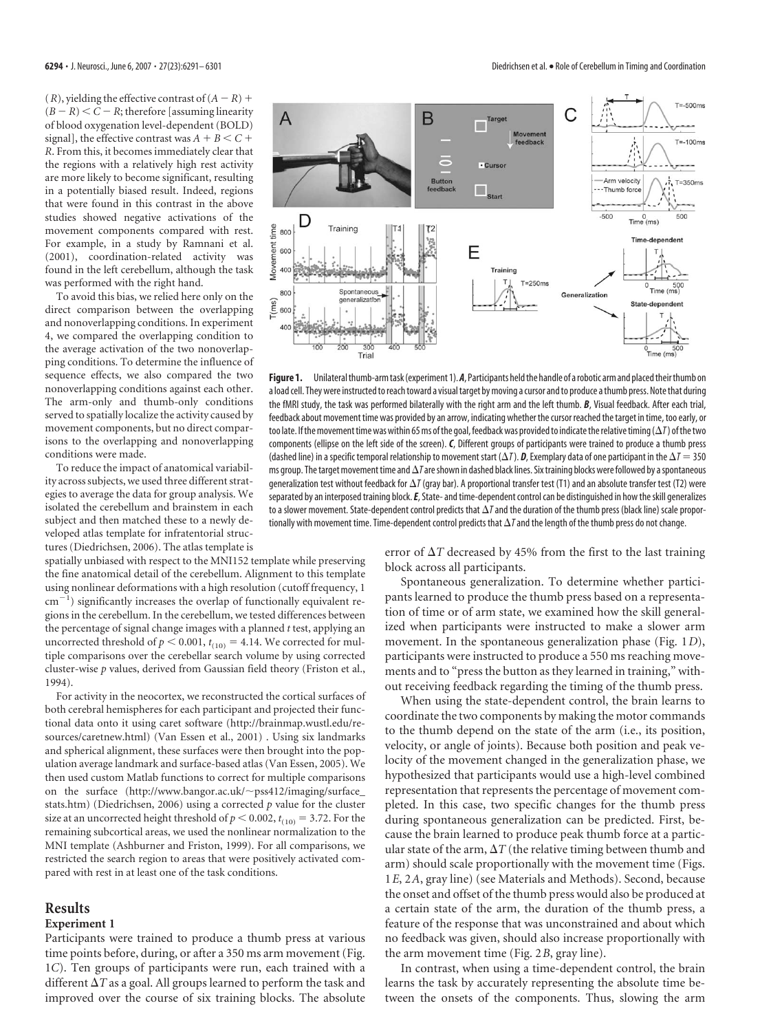(*R*), yielding the effective contrast of  $(A - R)$  +  $(B - R) < C - R$ ; therefore [assuming linearity of blood oxygenation level-dependent (BOLD) signal], the effective contrast was  $A + B \leq C +$ *R*. From this, it becomes immediately clear that the regions with a relatively high rest activity are more likely to become significant, resulting in a potentially biased result. Indeed, regions that were found in this contrast in the above studies showed negative activations of the movement components compared with rest. For example, in a study by Ramnani et al. (2001), coordination-related activity was found in the left cerebellum, although the task was performed with the right hand.

To avoid this bias, we relied here only on the direct comparison between the overlapping and nonoverlapping conditions. In experiment 4, we compared the overlapping condition to the average activation of the two nonoverlapping conditions. To determine the influence of sequence effects, we also compared the two nonoverlapping conditions against each other. The arm-only and thumb-only conditions served to spatially localize the activity caused by movement components, but no direct comparisons to the overlapping and nonoverlapping conditions were made.

To reduce the impact of anatomical variability across subjects, we used three different strategies to average the data for group analysis. We isolated the cerebellum and brainstem in each subject and then matched these to a newly developed atlas template for infratentorial structures (Diedrichsen, 2006). The atlas template is

spatially unbiased with respect to the MNI152 template while preserving the fine anatomical detail of the cerebellum. Alignment to this template using nonlinear deformations with a high resolution (cutoff frequency, 1  $\text{cm}^{-1}$ ) significantly increases the overlap of functionally equivalent regions in the cerebellum. In the cerebellum, we tested differences between the percentage of signal change images with a planned *t* test, applying an uncorrected threshold of  $p < 0.001$ ,  $t_{(10)} = 4.14$ . We corrected for multiple comparisons over the cerebellar search volume by using corrected cluster-wise *p* values, derived from Gaussian field theory (Friston et al., 1994).

For activity in the neocortex, we reconstructed the cortical surfaces of both cerebral hemispheres for each participant and projected their functional data onto it using caret software (http://brainmap.wustl.edu/resources/caretnew.html) (Van Essen et al., 2001) . Using six landmarks and spherical alignment, these surfaces were then brought into the population average landmark and surface-based atlas (Van Essen, 2005). We then used custom Matlab functions to correct for multiple comparisons on the surface (http://www.bangor.ac.uk/~pss412/imaging/surface\_ stats.htm) (Diedrichsen, 2006) using a corrected *p* value for the cluster size at an uncorrected height threshold of  $p < 0.002$ ,  $t_{(10)} = 3.72$ . For the remaining subcortical areas, we used the nonlinear normalization to the MNI template (Ashburner and Friston, 1999). For all comparisons, we restricted the search region to areas that were positively activated compared with rest in at least one of the task conditions.

## **Results**

## **Experiment 1**

Participants were trained to produce a thumb press at various time points before, during, or after a 350 ms arm movement (Fig. 1*C*). Ten groups of participants were run, each trained with a different  $\Delta T$  as a goal. All groups learned to perform the task and improved over the course of six training blocks. The absolute error of  $\Delta T$  decreased by 45% from the first to the last training block across all participants.

Spontaneous generalization. To determine whether participants learned to produce the thumb press based on a representation of time or of arm state, we examined how the skill generalized when participants were instructed to make a slower arm movement. In the spontaneous generalization phase (Fig. 1*D*), participants were instructed to produce a 550 ms reaching movements and to "press the button as they learned in training," without receiving feedback regarding the timing of the thumb press.

When using the state-dependent control, the brain learns to coordinate the two components by making the motor commands to the thumb depend on the state of the arm (i.e., its position, velocity, or angle of joints). Because both position and peak velocity of the movement changed in the generalization phase, we hypothesized that participants would use a high-level combined representation that represents the percentage of movement completed. In this case, two specific changes for the thumb press during spontaneous generalization can be predicted. First, because the brain learned to produce peak thumb force at a particular state of the arm,  $\Delta T$  (the relative timing between thumb and arm) should scale proportionally with the movement time (Figs. 1*E*, 2*A*, gray line) (see Materials and Methods). Second, because the onset and offset of the thumb press would also be produced at a certain state of the arm, the duration of the thumb press, a feature of the response that was unconstrained and about which no feedback was given, should also increase proportionally with the arm movement time (Fig. 2*B*, gray line).

In contrast, when using a time-dependent control, the brain learns the task by accurately representing the absolute time between the onsets of the components. Thus, slowing the arm



a load cell. They were instructed to reach toward a visual target by moving a cursor and to produce a thumb press. Note that during the fMRI study, the task was performed bilaterally with the right arm and the left thumb. *B*, Visual feedback. After each trial, feedback about movement time was provided by an arrow, indicating whether the cursor reached the target in time, too early, or too late. If the movement time was within 65 ms of the goal, feedback was provided to indicate the relative timing  $(\Delta T)$  of the two components (ellipse on the left side of the screen). *C*, Different groups of participants were trained to produce a thumb press (dashed line) in a specific temporal relationship to movement start ( $\Delta T$ ). *D*, Exemplary data of one participant in the  $\Delta T = 350$ ms group. The target movement time and  $\Delta T$ are shown in dashed black lines. Six training blocks were followed by a spontaneous generalization test without feedback for  $\Delta T$  (gray bar). A proportional transfer test (T1) and an absolute transfer test (T2) were separated by an interposed training block. E, State- and time-dependent control can be distinguished in how the skill generalizes to a slower movement. State-dependent control predicts that  $\Delta T$  and the duration of the thumb press (black line) scale proportionally with movement time. Time-dependent control predicts that  $\Delta T$  and the length of the thumb press do not change.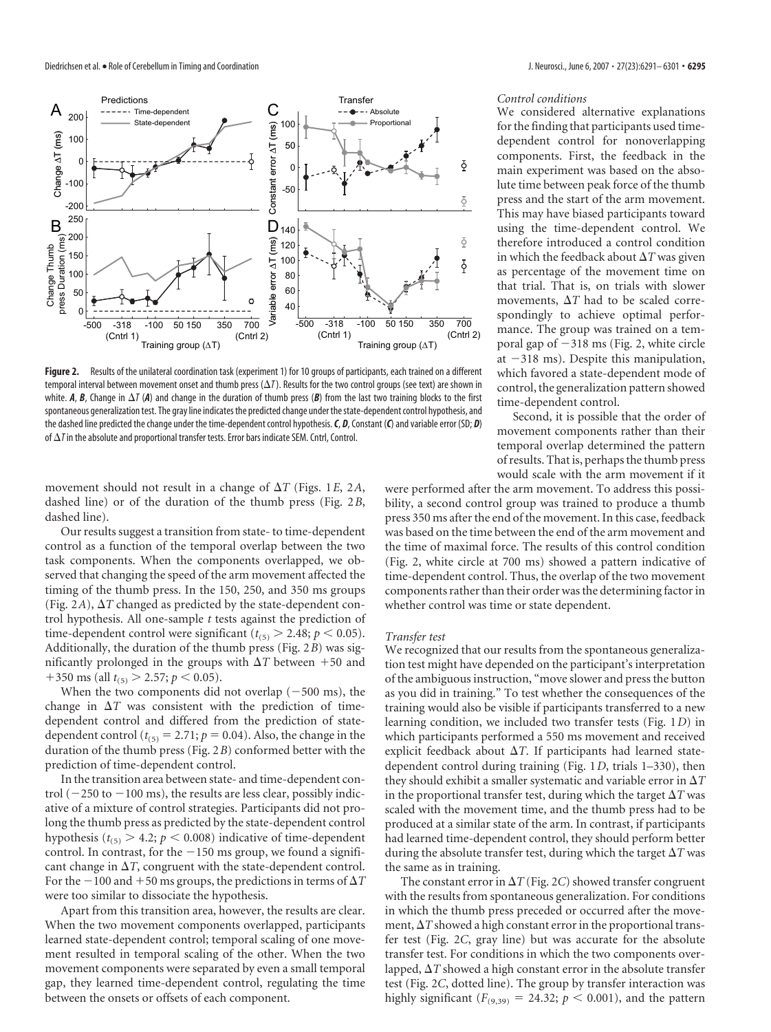

Figure 2. Results of the unilateral coordination task (experiment 1) for 10 groups of participants, each trained on a different temporal interval between movement onset and thumb press  $(\Delta T)$ . Results for the two control groups (see text) are shown in white. A, B, Change in  $\Delta T$  (A) and change in the duration of thumb press (B) from the last two training blocks to the first spontaneous generalization test. The gray line indicates the predicted change under the state-dependent control hypothesis, and the dashed line predicted the change under the time-dependent control hypothesis. C, D, Constant (C) and variable error (SD; D) of  $\Delta T$  in the absolute and proportional transfer tests. Error bars indicate SEM. Cntrl, Control.

movement should not result in a change of  $\Delta T$  (Figs. 1*E*, 2*A*, dashed line) or of the duration of the thumb press (Fig. 2*B*, dashed line).

Our results suggest a transition from state-to time-dependent control as a function of the temporal overlap between the two task components. When the components overlapped, we observed that changing the speed of the arm movement affected the timing of the thumb press. In the 150, 250, and 350 ms groups (Fig. 2A),  $\Delta T$  changed as predicted by the state-dependent control hypothesis. All one-sample *t* tests against the prediction of time-dependent control were significant ( $t_{(5)} > 2.48$ ;  $p < 0.05$ ). Additionally, the duration of the thumb press (Fig. 2*B*) was significantly prolonged in the groups with  $\Delta T$  between  $+50$  and  $+350 \text{ ms (all } t_{(5)} > 2.57; p < 0.05).$ 

When the two components did not overlap  $(-500 \text{ ms})$ , the change in  $\Delta T$  was consistent with the prediction of timedependent control and differed from the prediction of statedependent control ( $t_{(5)} = 2.71$ ;  $p = 0.04$ ). Also, the change in the duration of the thumb press (Fig. 2*B*) conformed better with the prediction of time-dependent control.

In the transition area between state- and time-dependent control  $(-250$  to  $-100$  ms), the results are less clear, possibly indicative of a mixture of control strategies. Participants did not prolong the thumb press as predicted by the state-dependent control hypothesis ( $t_{(5)} > 4.2$ ;  $p < 0.008$ ) indicative of time-dependent control. In contrast, for the  $-150$  ms group, we found a significant change in  $\Delta T$ , congruent with the state-dependent control. For the  $-100$  and  $+50$  ms groups, the predictions in terms of  $\Delta T$ were too similar to dissociate the hypothesis.

Apart from this transition area, however, the results are clear. When the two movement components overlapped, participants learned state-dependent control; temporal scaling of one movement resulted in temporal scaling of the other. When the two movement components were separated by even a small temporal gap, they learned time-dependent control, regulating the time between the onsets or offsets of each component.

## *Control conditions*

We considered alternative explanations for the finding that participants used timedependent control for nonoverlapping components. First, the feedback in the main experiment was based on the absolute time between peak force of the thumb press and the start of the arm movement. This may have biased participants toward using the time-dependent control. We therefore introduced a control condition in which the feedback about  $\Delta T$  was given as percentage of the movement time on that trial. That is, on trials with slower movements,  $\Delta T$  had to be scaled correspondingly to achieve optimal performance. The group was trained on a temporal gap of  $-318$  ms (Fig. 2, white circle at  $-318$  ms). Despite this manipulation, which favored a state-dependent mode of control, the generalization pattern showed time-dependent control.

Second, it is possible that the order of movement components rather than their temporal overlap determined the pattern of results. That is, perhaps the thumb press would scale with the arm movement if it

were performed after the arm movement. To address this possibility, a second control group was trained to produce a thumb press 350 ms after the end of the movement. In this case, feedback was based on the time between the end of the arm movement and the time of maximal force. The results of this control condition (Fig. 2, white circle at 700 ms) showed a pattern indicative of time-dependent control. Thus, the overlap of the two movement components rather than their order was the determining factor in whether control was time or state dependent.

#### *Transfer test*

We recognized that our results from the spontaneous generalization test might have depended on the participant's interpretation of the ambiguous instruction, "move slower and press the button as you did in training." To test whether the consequences of the training would also be visible if participants transferred to a new learning condition, we included two transfer tests (Fig. 1*D*) in which participants performed a 550 ms movement and received explicit feedback about  $\Delta T$ . If participants had learned statedependent control during training (Fig. 1*D*, trials 1–330), then they should exhibit a smaller systematic and variable error in  $\Delta T$ in the proportional transfer test, during which the target  $\Delta T$  was scaled with the movement time, and the thumb press had to be produced at a similar state of the arm. In contrast, if participants had learned time-dependent control, they should perform better during the absolute transfer test, during which the target  $\Delta T$  was the same as in training.

The constant error in  $\Delta T$  (Fig. 2*C*) showed transfer congruent with the results from spontaneous generalization. For conditions in which the thumb press preceded or occurred after the movement,  $\Delta T$  showed a high constant error in the proportional transfer test (Fig. 2*C*, gray line) but was accurate for the absolute transfer test. For conditions in which the two components overlapped,  $\Delta T$  showed a high constant error in the absolute transfer test (Fig. 2*C*, dotted line). The group by transfer interaction was highly significant  $(F_{(9,39)} = 24.32; p < 0.001)$ , and the pattern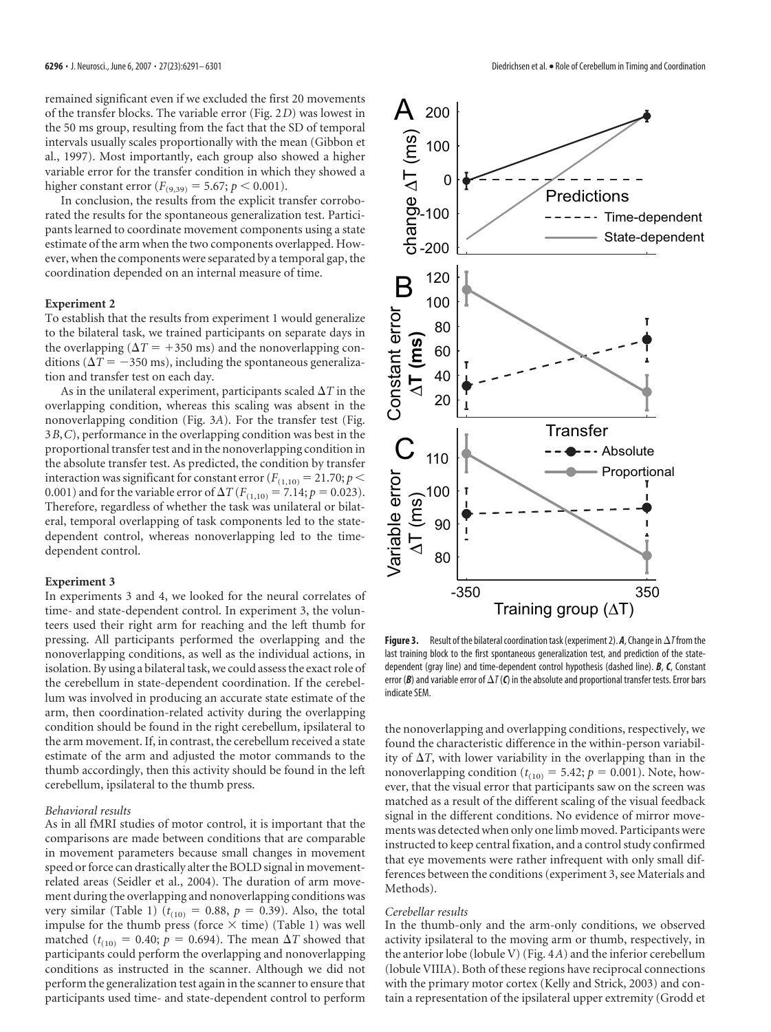remained significant even if we excluded the first 20 movements of the transfer blocks. The variable error (Fig. 2*D*) was lowest in the 50 ms group, resulting from the fact that the SD of temporal intervals usually scales proportionally with the mean (Gibbon et al., 1997). Most importantly, each group also showed a higher variable error for the transfer condition in which they showed a higher constant error ( $F_{(9,39)} = 5.67; p < 0.001$ ).

In conclusion, the results from the explicit transfer corroborated the results for the spontaneous generalization test. Participants learned to coordinate movement components using a state estimate of the arm when the two components overlapped. However, when the components were separated by a temporal gap, the coordination depended on an internal measure of time.

### **Experiment 2**

To establish that the results from experiment 1 would generalize to the bilateral task, we trained participants on separate days in the overlapping ( $\Delta T$  = +350 ms) and the nonoverlapping conditions ( $\Delta T = -350$  ms), including the spontaneous generalization and transfer test on each day.

As in the unilateral experiment, participants scaled  $\Delta T$  in the overlapping condition, whereas this scaling was absent in the nonoverlapping condition (Fig. 3*A*). For the transfer test (Fig. 3*B*,*C*), performance in the overlapping condition was best in the proportional transfertest and in the nonoverlapping condition in the absolute transfer test. As predicted, the condition by transfer interaction was significant for constant error ( $F_{(1,10)} = 21.70; p <$ 0.001) and for the variable error of  $\Delta T (F_{(1,10)} = 7.14; p = 0.023)$ . Therefore, regardless of whether the task was unilateral or bilateral, temporal overlapping of task components led to the statedependent control, whereas nonoverlapping led to the timedependent control.

## **Experiment 3**

In experiments 3 and 4, we looked for the neural correlates of time- and state-dependent control. In experiment 3, the volunteers used their right arm for reaching and the left thumb for pressing. All participants performed the overlapping and the nonoverlapping conditions, as well as the individual actions, in isolation. By using a bilateral task, we could assess the exact role of the cerebellum in state-dependent coordination. If the cerebellum was involved in producing an accurate state estimate of the arm, then coordination-related activity during the overlapping condition should be found in the right cerebellum, ipsilateral to the arm movement. If, in contrast, the cerebellum received a state estimate of the arm and adjusted the motor commands to the thumb accordingly, then this activity should be found in the left cerebellum, ipsilateral to the thumb press.

#### *Behavioral results*

As in all fMRI studies of motor control, it is important that the comparisons are made between conditions that are comparable in movement parameters because small changes in movement speed or force can drastically alter the BOLD signal in movementrelated areas (Seidler et al., 2004). The duration of arm movement during the overlapping and nonoverlapping conditionswas very similar (Table 1)  $(t_{(10)} = 0.88, p = 0.39)$ . Also, the total impulse for the thumb press (force  $\times$  time) (Table 1) was well matched ( $t_{(10)} = 0.40$ ;  $p = 0.694$ ). The mean  $\Delta T$  showed that participants could perform the overlapping and nonoverlapping conditions as instructed in the scanner. Although we did not perform the generalization test again in the scanner to ensure that participants used time- and state-dependent control to perform



**Figure 3.** Result of the bilateral coordination task (experiment 2).  $A$ , Change in  $\Delta T$  from the last training block to the first spontaneous generalization test, and prediction of the statedependent (gray line) and time-dependent control hypothesis (dashed line). *B*, *C*, Constant error ( $B$ ) and variable error of  $\Delta T$ ( $C$ ) in the absolute and proportional transfer tests. Error bars indicate SEM.

the nonoverlapping and overlapping conditions, respectively, we found the characteristic difference in the within-person variability of  $\Delta T$ , with lower variability in the overlapping than in the nonoverlapping condition ( $t_{(10)} = 5.42$ ;  $p = 0.001$ ). Note, however, that the visual error that participants saw on the screen was matched as a result of the different scaling of the visual feedback signal in the different conditions. No evidence of mirror movements was detected when only one limb moved. Participants were instructed to keep central fixation, and a control study confirmed that eye movements were rather infrequent with only small differences between the conditions (experiment 3, see Materials and Methods).

### *Cerebellar results*

In the thumb-only and the arm-only conditions, we observed activity ipsilateral to the moving arm or thumb, respectively, in the anterior lobe (lobule V) (Fig. 4*A*) and the inferior cerebellum (lobule VIIIA). Both of these regions have reciprocal connections with the primary motor cortex (Kelly and Strick, 2003) and contain a representation of the ipsilateral upper extremity (Grodd et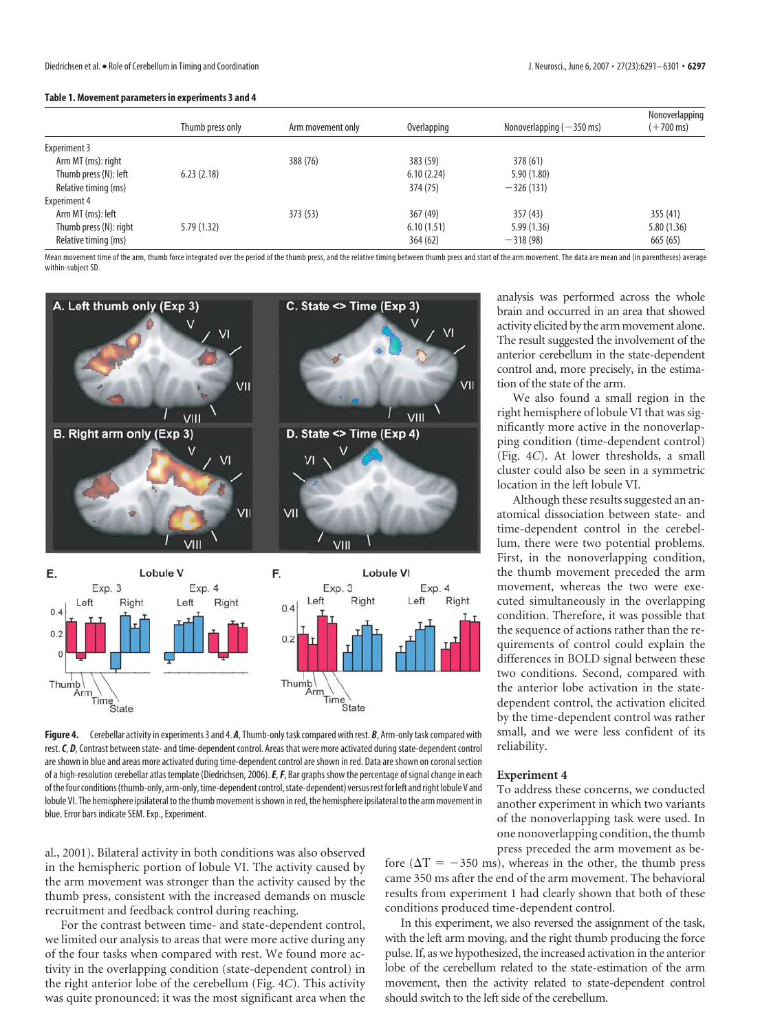| Table 1. Movement parameters in experiments 3 and 4 |  |  |
|-----------------------------------------------------|--|--|
|-----------------------------------------------------|--|--|

|                        | Thumb press only | Arm movement only | Overlapping | Nonoverlapping $(-350 \text{ ms})$ | Nonoverlapping<br>$(+700 \,\text{ms})$ |
|------------------------|------------------|-------------------|-------------|------------------------------------|----------------------------------------|
| <b>Experiment 3</b>    |                  |                   |             |                                    |                                        |
| Arm MT (ms): right     |                  | 388 (76)          | 383 (59)    | 378 (61)                           |                                        |
| Thumb press (N): left  | 6.23(2.18)       |                   | 6.10(2.24)  | 5.90(1.80)                         |                                        |
| Relative timing (ms)   |                  |                   | 374 (75)    | $-326(131)$                        |                                        |
| <b>Experiment 4</b>    |                  |                   |             |                                    |                                        |
| Arm MT (ms): left      |                  | 373 (53)          | 367(49)     | 357 (43)                           | 355 (41)                               |
| Thumb press (N): right | 5.79(1.32)       |                   | 6.10(1.51)  | 5.99(1.36)                         | 5.80 (1.36)                            |
| Relative timing (ms)   |                  |                   | 364(62)     | $-318(98)$                         | 665 (65)                               |

Mean movement time of the arm, thumb force integrated over the period of the thumb press, and the relative timing between thumb press and start of the arm movement. The data are mean and (in parentheses) average within-subject SD.



Figure 4. Cerebellar activity in experiments 3 and 4. A, Thumb-only task compared with rest. B, Arm-only task compared with rest. C, D, Contrast between state-and time-dependent control. Areas that were more activated during state-dependent control are shown in blue and areas more activated during time-dependent control are shown in red. Data are shown on coronal section of a high-resolution cerebellar atlas template (Diedrichsen, 2006). *E*, *F*, Bar graphs show the percentage of signal change in each of the four conditions (thumb-only, arm-only, time-dependent control, state-dependent) versus rest for left and right lobule V and lobule VI. The hemisphere ipsilateral to the thumb movement is shown in red, the hemisphere ipsilateral to the arm movement in blue. Error bars indicate SEM. Exp., Experiment.

al., 2001). Bilateral activity in both conditions was also observed in the hemispheric portion of lobule VI. The activity caused by the arm movement was stronger than the activity caused by the thumb press, consistent with the increased demands on muscle recruitment and feedback control during reaching.

For the contrast between time- and state-dependent control, we limited our analysis to areas that were more active during any of the four tasks when compared with rest. We found more activity in the overlapping condition (state-dependent control) in the right anterior lobe of the cerebellum (Fig. 4*C*). This activity was quite pronounced: it was the most significant area when the

analysis was performed across the whole brain and occurred in an area that showed activity elicited by the arm movement alone. The result suggested the involvement of the anterior cerebellum in the state-dependent control and, more precisely, in the estimation of the state of the arm.

We also found a small region in the right hemisphere of lobule VI that was significantly more active in the nonoverlapping condition (time-dependent control) (Fig. 4*C*). At lower thresholds, a small cluster could also be seen in a symmetric location in the left lobule VI.

Although these results suggested an anatomical dissociation between state- and time-dependent control in the cerebellum, there were two potential problems. First, in the nonoverlapping condition, the thumb movement preceded the arm movement, whereas the two were executed simultaneously in the overlapping condition. Therefore, it was possible that the sequence of actions rather than the requirements of control could explain the differences in BOLD signal between these two conditions. Second, compared with the anterior lobe activation in the statedependent control, the activation elicited by the time-dependent control was rather small, and we were less confident of its reliability.

## **Experiment 4**

To address these concerns, we conducted another experiment in which two variants of the nonoverlapping task were used. In one nonoverlapping condition, the thumb press preceded the arm movement as be-

fore ( $\Delta T = -350$  ms), whereas in the other, the thumb press came 350 ms after the end of the arm movement. The behavioral results from experiment 1 had clearly shown that both of these conditions produced time-dependent control.

In this experiment, we also reversed the assignment of the task, with the left arm moving, and the right thumb producing the force pulse. If, aswe hypothesized, the increased activation in the anterior lobe of the cerebellum related to the state-estimation of the arm movement, then the activity related to state-dependent control should switch to the left side of the cerebellum.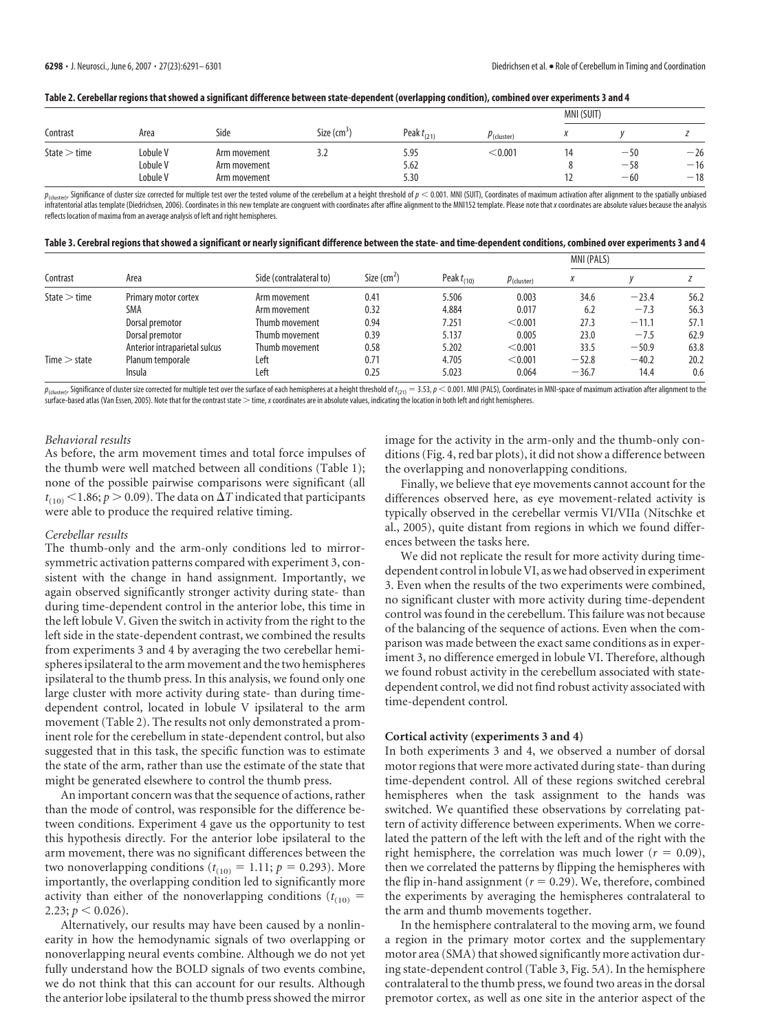$\frac{1}{1}$ 

| Table 2. Cerebellar regions that showed a significant difference between state-dependent (overlapping condition), combined over experiments 3 and $\ell$ |  |  |
|----------------------------------------------------------------------------------------------------------------------------------------------------------|--|--|
|                                                                                                                                                          |  |  |

| Contrast       | Area     |              |                          |                 |               |    | MNI (SUIT) |       |  |
|----------------|----------|--------------|--------------------------|-----------------|---------------|----|------------|-------|--|
|                |          | Side         | Size (cm <sup>3</sup>    | Peak $t_{(21)}$ | $P$ (cluster) |    |            |       |  |
| State $>$ time | Lobule V | Arm movement | $\overline{\phantom{a}}$ | 5.95            | < 0.001       | 14 | $-50$      | $-26$ |  |
|                | Lobule V | Arm movement |                          | 5.62            |               |    | $-58$      | $-16$ |  |
|                | Lobule V | Arm movement |                          | 5.30            |               |    | $-60$      | $-18$ |  |

 $p_{\text{(cluster)}}$  Significance of cluster size corrected for multiple test over the tested volume of the cerebellum at a height threshold of  $p < 0.001$ . MNI (SUIT), Coordinates of maximum activation after alignment to the spatial infratentorial atlas template (Diedrichsen, 2006). Coordinates in this new template are congruent with coordinates after affine alignment to the MNI152 template. Please note that x coordinates are absolute values because t reflects location of maxima from an average analysis of left and right hemispheres.

| Table 3. Cerebral regions that showed a significant or nearly significant difference between the state- and time-dependent conditions, combined over experiments 3 and 4 |  |  |  |
|--------------------------------------------------------------------------------------------------------------------------------------------------------------------------|--|--|--|
|                                                                                                                                                                          |  |  |  |

| Contrast       | Area                          | Side (contralateral to) | Size $\text{(cm}^2)$ | Peak $t_{(10)}$ | $p_{\text{(cluster)}}$ | MNI (PALS) |         |      |
|----------------|-------------------------------|-------------------------|----------------------|-----------------|------------------------|------------|---------|------|
|                |                               |                         |                      |                 |                        |            |         |      |
| State $>$ time | Primary motor cortex          | Arm movement            | 0.41                 | 5.506           | 0.003                  | 34.6       | $-23.4$ | 56.2 |
|                | SMA                           | Arm movement            | 0.32                 | 4.884           | 0.017                  | 6.2        | $-7.3$  | 56.3 |
|                | Dorsal premotor               | Thumb movement          | 0.94                 | 7.251           | < 0.001                | 27.3       | $-11.1$ | 57.1 |
|                | Dorsal premotor               | Thumb movement          | 0.39                 | 5.137           | 0.005                  | 23.0       | $-7.5$  | 62.9 |
|                | Anterior intraparietal sulcus | Thumb movement          | 0.58                 | 5.202           | < 0.001                | 33.5       | $-50.9$ | 63.8 |
| Time > state   | Planum temporale              | Left                    | 0.71                 | 4.705           | < 0.001                | $-52.8$    | $-40.2$ | 20.2 |
|                | Insula                        | Left                    | 0.25                 | 5.023           | 0.064                  | $-36.7$    | 14.4    | 0.6  |

 $p_{\text{(cluster)}}$  Significance of cluster size corrected for multiple test over the surface of each hemispheres at a height threshold of  $t_{(21)} = 3.53$ ,  $p < 0.001$ . MNI (PALS), Coordinates in MNI-space of maximum activation after surface-based atlas (Van Essen, 2005). Note that for the contrast state  $>$  time, x coordinates are in absolute values, indicating the location in both left and right hemispheres.

#### *Behavioral results*

As before, the arm movement times and total force impulses of the thumb were well matched between all conditions (Table 1); none of the possible pairwise comparisons were significant (all  $t_{(10)}$  < 1.86;  $p > 0.09$ ). The data on  $\Delta T$  indicated that participants were able to produce the required relative timing.

## *Cerebellar results*

The thumb-only and the arm-only conditions led to mirrorsymmetric activation patterns compared with experiment 3, consistent with the change in hand assignment. Importantly, we again observed significantly stronger activity during state- than during time-dependent control in the anterior lobe, this time in the left lobule V. Given the switch in activity from the right to the left side in the state-dependent contrast, we combined the results from experiments 3 and 4 by averaging the two cerebellar hemispheres ipsilateral to the arm movement and the two hemispheres ipsilateral to the thumb press. In this analysis, we found only one large cluster with more activity during state- than during timedependent control, located in lobule V ipsilateral to the arm movement (Table 2). The results not only demonstrated a prominent role for the cerebellum in state-dependent control, but also suggested that in this task, the specific function was to estimate the state of the arm, rather than use the estimate of the state that might be generated elsewhere to control the thumb press.

An important concern was that the sequence of actions, rather than the mode of control, was responsible for the difference between conditions. Experiment 4 gave us the opportunity to test this hypothesis directly. For the anterior lobe ipsilateral to the arm movement, there was no significant differences between the two nonoverlapping conditions  $(t_{(10)} = 1.11; p = 0.293)$ . More importantly, the overlapping condition led to significantly more activity than either of the nonoverlapping conditions  $(t_{(10)} =$ 2.23;  $p < 0.026$ ).

Alternatively, our results may have been caused by a nonlinearity in how the hemodynamic signals of two overlapping or nonoverlapping neural events combine. Although we do not yet fully understand how the BOLD signals of two events combine, we do not think that this can account for our results. Although the anterior lobe ipsilateral to the thumb press showed the mirror

image for the activity in the arm-only and the thumb-only conditions (Fig. 4, red bar plots), it did not show a difference between the overlapping and nonoverlapping conditions.

Finally, we believe that eye movements cannot account forthe differences observed here, as eye movement-related activity is typically observed in the cerebellar vermis VI/VIIa (Nitschke et al., 2005), quite distant from regions in which we found differences between the tasks here.

We did not replicate the result for more activity during timedependent control in lobule VI, as we had observed in experiment 3. Even when the results of the two experiments were combined, no significant cluster with more activity during time-dependent control was found in the cerebellum. This failure was not because of the balancing of the sequence of actions. Even when the comparison was made between the exact same conditions as in experiment 3, no difference emerged in lobule VI. Therefore, although we found robust activity in the cerebellum associated with statedependent control, we did not find robust activity associated with time-dependent control.

#### **Cortical activity (experiments 3 and 4)**

In both experiments 3 and 4, we observed a number of dorsal motor regions that were more activated during state-than during time-dependent control. All of these regions switched cerebral hemispheres when the task assignment to the hands was switched. We quantified these observations by correlating pattern of activity difference between experiments. When we correlated the pattern of the left with the left and of the right with the right hemisphere, the correlation was much lower ( $r = 0.09$ ), then we correlated the patterns by flipping the hemispheres with the flip in-hand assignment ( $r = 0.29$ ). We, therefore, combined the experiments by averaging the hemispheres contralateral to the arm and thumb movements together.

In the hemisphere contralateral to the moving arm, we found a region in the primary motor cortex and the supplementary motor area (SMA) that showed significantly more activation during state-dependent control(Table 3, Fig. 5*A*). In the hemisphere contralateral to the thumb press, we found two areas in the dorsal premotor cortex, as well as one site in the anterior aspect of the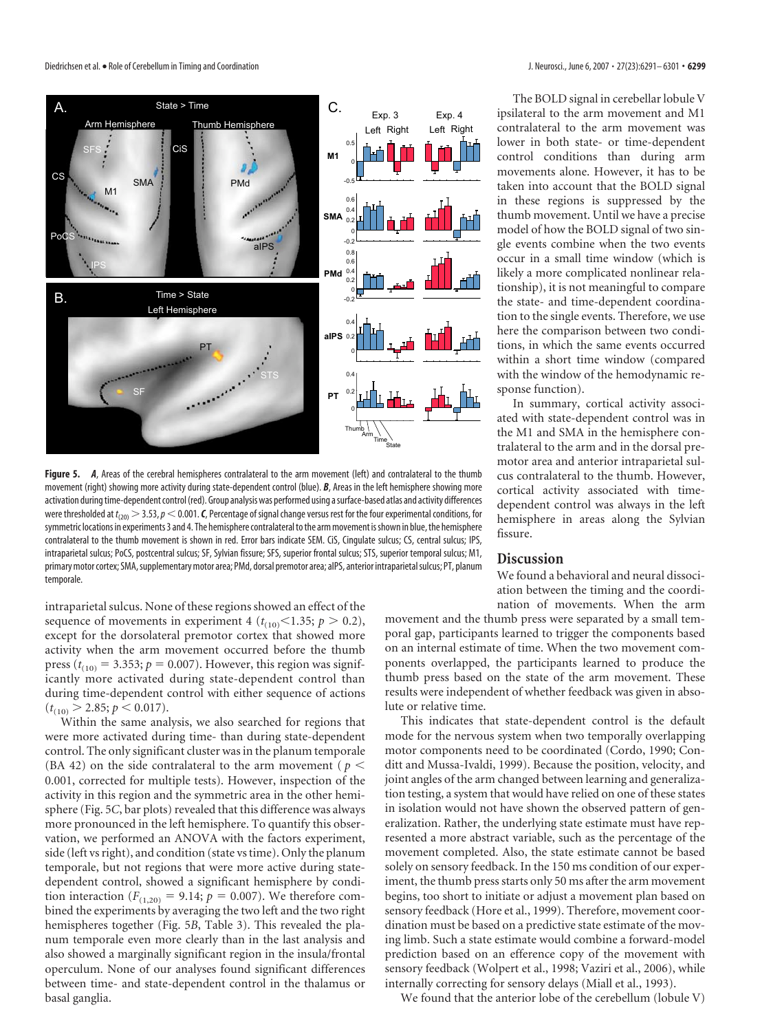Diedrichsen et al. • Role of Cerebellum in Timing and Coordination **J. Neurosci., June 6, 2007** • 27(23):6291–6301 • **6299** 



**Figure 5.** *A*, Areas of the cerebral hemispheres contralateral to the arm movement (left) and contralateral to the thumb movement (right) showing more activity during state-dependent control (blue). *B*, Areas in the left hemisphere showing more activation during time-dependent control (red). Group analysis was performed using a surface-based atlas and activity differences were thresholded at  $t_{(20)} > 3.53$ ,  $p < 0.001$ . *C*, Percentage of signal change versus rest for the four experimental conditions, for symmetric locations in experiments 3 and 4. The hemisphere contralateral to the arm movement is shown in blue, the hemisphere contralateral to the thumb movement is shown in red. Error bars indicate SEM. CiS, Cingulate sulcus; CS, central sulcus; IPS, intraparietal sulcus; PoCS, postcentral sulcus; SF, Sylvian fissure; SFS, superior frontal sulcus; STS, superior temporal sulcus; M1, primary motor cortex; SMA, supplementary motor area; PMd, dorsal premotor area; aIPS, anterior intraparietal sulcus; PT, planum temporale.

intraparietal sulcus. None of these regions showed an effect of the sequence of movements in experiment 4 ( $t_{(10)}$  < 1.35;  $p > 0.2$ ), except for the dorsolateral premotor cortex that showed more activity when the arm movement occurred before the thumb press ( $t_{(10)} = 3.353$ ;  $p = 0.007$ ). However, this region was significantly more activated during state-dependent control than during time-dependent control with either sequence of actions  $(t_{(10)} > 2.85; p < 0.017).$ 

Within the same analysis, we also searched for regions that were more activated during time- than during state-dependent control. The only significant cluster was in the planum temporale (BA 42) on the side contralateral to the arm movement ( $p <$ 0.001, corrected for multiple tests). However, inspection of the activity in this region and the symmetric area in the other hemisphere (Fig. 5*C*, bar plots) revealed that this difference was always more pronounced in the left hemisphere. To quantify this observation, we performed an ANOVA with the factors experiment, side (left vs right), and condition (state vs time). Only the planum temporale, but not regions that were more active during statedependent control, showed a significant hemisphere by condition interaction ( $F_{(1,20)} = 9.14$ ;  $p = 0.007$ ). We therefore combined the experiments by averaging the two left and the two right hemispheres together (Fig. 5*B*, Table 3). This revealed the planum temporale even more clearly than in the last analysis and also showed a marginally significant region in the insula/frontal operculum. None of our analyses found significant differences between time- and state-dependent control in the thalamus or basal ganglia.

The BOLD signal in cerebellar lobule V ipsilateral to the arm movement and M1 contralateral to the arm movement was lower in both state- or time-dependent control conditions than during arm movements alone. However, it has to be taken into account that the BOLD signal in these regions is suppressed by the thumb movement. Until we have a precise model of how the BOLD signal of two single events combine when the two events occur in a small time window (which is likely a more complicated nonlinear relationship), it is not meaningful to compare the state- and time-dependent coordination to the single events. Therefore, we use here the comparison between two conditions, in which the same events occurred within a short time window (compared with the window of the hemodynamic response function).

In summary, cortical activity associated with state-dependent control was in the M1 and SMA in the hemisphere contralateral to the arm and in the dorsal premotor area and anterior intraparietal sulcus contralateral to the thumb. However, cortical activity associated with timedependent control was always in the left hemisphere in areas along the Sylvian fissure.

## **Discussion**

We found a behavioral and neural dissociation between the timing and the coordination of movements. When the arm

movement and the thumb press were separated by a small temporal gap, participants learned to trigger the components based on an internal estimate of time. When the two movement components overlapped, the participants learned to produce the thumb press based on the state of the arm movement. These results were independent of whether feedback was given in absolute or relative time.

This indicates that state-dependent control is the default mode for the nervous system when two temporally overlapping motor components need to be coordinated (Cordo, 1990; Conditt and Mussa-Ivaldi, 1999). Because the position, velocity, and joint angles of the arm changed between learning and generalization testing, a system that would have relied on one of these states in isolation would not have shown the observed pattern of generalization. Rather, the underlying state estimate must have represented a more abstract variable, such as the percentage of the movement completed. Also, the state estimate cannot be based solely on sensory feedback. In the 150 ms condition of our experiment, the thumb press starts only 50 ms after the arm movement begins, too short to initiate or adjust a movement plan based on sensory feedback (Hore et al., 1999). Therefore, movement coordination must be based on a predictive state estimate of the moving limb. Such a state estimate would combine a forward-model prediction based on an efference copy of the movement with sensory feedback (Wolpert et al., 1998; Vaziri et al., 2006), while internally correcting for sensory delays (Miall et al., 1993).

We found that the anterior lobe of the cerebellum (lobule V)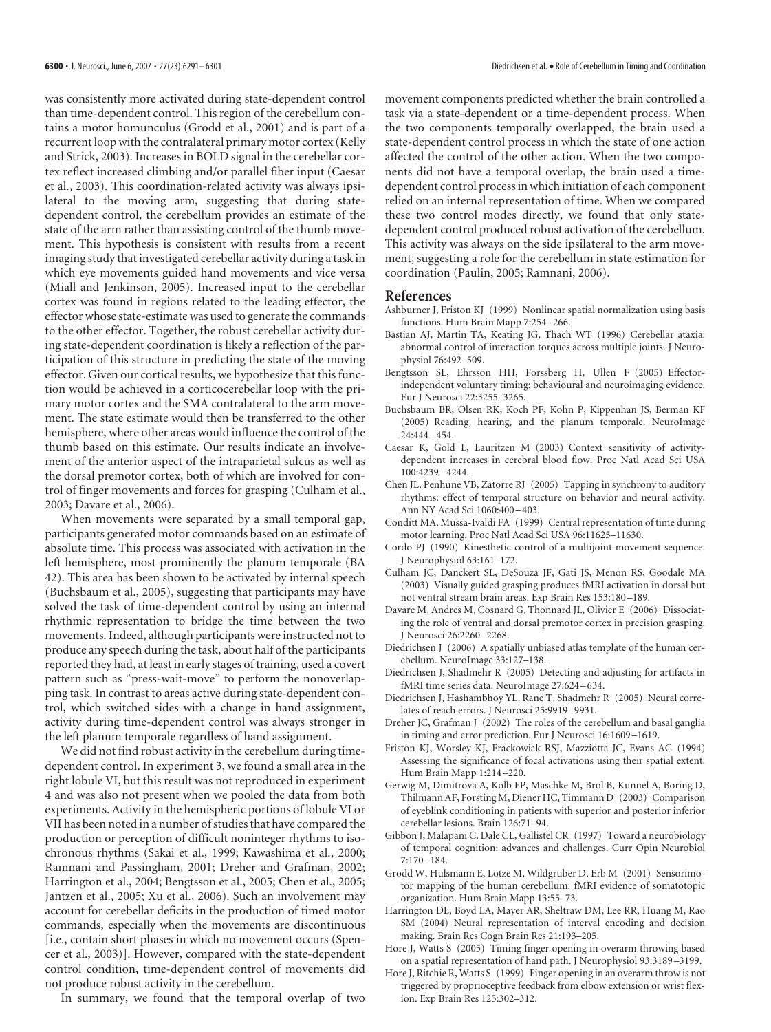was consistently more activated during state-dependent control than time-dependent control. This region of the cerebellum contains a motor homunculus (Grodd et al., 2001) and is part of a recurrent loop with the contralateral primary motor cortex (Kelly and Strick, 2003). Increases in BOLD signal in the cerebellar cortex reflect increased climbing and/or parallel fiber input (Caesar et al., 2003). This coordination-related activity was always ipsilateral to the moving arm, suggesting that during statedependent control, the cerebellum provides an estimate of the state of the arm rather than assisting control of the thumb movement. This hypothesis is consistent with results from a recent imaging study that investigated cerebellar activity during a task in which eye movements guided hand movements and vice versa (Miall and Jenkinson, 2005). Increased input to the cerebellar cortex was found in regions related to the leading effector, the effector whose state-estimate was used to generate the commands to the other effector. Together, the robust cerebellar activity during state-dependent coordination is likely a reflection of the participation of this structure in predicting the state of the moving effector. Given our cortical results, we hypothesize that this function would be achieved in a corticocerebellar loop with the primary motor cortex and the SMA contralateral to the arm movement. The state estimate would then be transferred to the other hemisphere, where other areas would influence the control of the thumb based on this estimate. Our results indicate an involvement of the anterior aspect of the intraparietal sulcus as well as the dorsal premotor cortex, both of which are involved for control of finger movements and forces for grasping (Culham et al., 2003; Davare et al., 2006).

When movements were separated by a small temporal gap, participants generated motor commands based on an estimate of absolute time. This process was associated with activation in the left hemisphere, most prominently the planum temporale (BA 42). This area has been shown to be activated by internal speech (Buchsbaum et al., 2005), suggesting that participants may have solved the task of time-dependent control by using an internal rhythmic representation to bridge the time between the two movements. Indeed, although participantswere instructed not to produce any speech during the task, about half of the participants reported they had, at least in early stages of training, used a covert pattern such as "press-wait-move" to perform the nonoverlapping task. In contrast to areas active during state-dependent control, which switched sides with a change in hand assignment, activity during time-dependent control was always stronger in the left planum temporale regardless of hand assignment.

We did not find robust activity in the cerebellum during timedependent control. In experiment 3, we found a small area in the right lobule VI, but this result was not reproduced in experiment 4 and was also not present when we pooled the data from both experiments. Activity in the hemispheric portions of lobule VI or VII has been noted in a number of studies that have compared the production or perception of difficult noninteger rhythms to isochronous rhythms (Sakai et al., 1999; Kawashima et al., 2000; Ramnani and Passingham, 2001; Dreher and Grafman, 2002; Harrington et al., 2004; Bengtsson et al., 2005; Chen et al., 2005; Jantzen et al., 2005; Xu et al., 2006). Such an involvement may account for cerebellar deficits in the production of timed motor commands, especially when the movements are discontinuous [i.e., contain short phases in which no movement occurs (Spencer et al., 2003)]. However, compared with the state-dependent control condition, time-dependent control of movements did not produce robust activity in the cerebellum.

In summary, we found that the temporal overlap of two

movement components predicted whether the brain controlled a task via a state-dependent or a time-dependent process. When the two components temporally overlapped, the brain used a state-dependent control process in which the state of one action affected the control of the other action. When the two components did not have a temporal overlap, the brain used a timedependent control processinwhich initiation of each component relied on an internal representation of time. When we compared these two control modes directly, we found that only statedependent control produced robust activation of the cerebellum. This activity was always on the side ipsilateral to the arm movement, suggesting a role for the cerebellum in state estimation for coordination (Paulin, 2005; Ramnani, 2006).

#### **References**

- Ashburner J, Friston KJ (1999) Nonlinear spatial normalization using basis functions. Hum Brain Mapp 7:254–266.
- Bastian AJ, Martin TA, Keating JG, Thach WT (1996) Cerebellar ataxia: abnormal control of interaction torques across multiple joints. J Neurophysiol 76:492–509.
- Bengtsson SL, Ehrsson HH, Forssberg H, Ullen F (2005) Effectorindependent voluntary timing: behavioural and neuroimaging evidence. Eur J Neurosci 22:3255–3265.
- Buchsbaum BR, Olsen RK, Koch PF, Kohn P, Kippenhan JS, Berman KF (2005) Reading, hearing, and the planum temporale. NeuroImage  $24.444 - 454$
- Caesar K, Gold L, Lauritzen M (2003) Context sensitivity of activitydependent increases in cerebral blood flow. Proc Natl Acad Sci USA 100:4239–4244.
- Chen JL, Penhune VB, Zatorre RJ (2005) Tapping in synchrony to auditory rhythms: effect of temporal structure on behavior and neural activity. Ann NY Acad Sci 1060:400–403.
- Conditt MA, Mussa-Ivaldi FA (1999) Central representation of time during motor learning. Proc Natl Acad Sci USA 96:11625–11630.
- Cordo PJ (1990) Kinesthetic control of a multijoint movement sequence. J Neurophysiol 63:161–172.
- Culham JC, Danckert SL, DeSouza JF, Gati JS, Menon RS, Goodale MA (2003) Visually guided grasping produces fMRI activation in dorsal but not ventral stream brain areas. Exp Brain Res 153:180–189.
- Davare M, Andres M, Cosnard G, Thonnard JL, Olivier E (2006) Dissociating the role of ventral and dorsal premotor cortex in precision grasping. J Neurosci 26:2260–2268.
- Diedrichsen J (2006) A spatially unbiased atlas template of the human cerebellum. NeuroImage 33:127–138.
- Diedrichsen J, Shadmehr R (2005) Detecting and adjusting for artifacts in fMRI time series data. NeuroImage 27:624–634.
- Diedrichsen J, Hashambhoy YL, Rane T, Shadmehr R (2005) Neural correlates of reach errors. J Neurosci 25:9919–9931.
- Dreher JC, Grafman J (2002) The roles of the cerebellum and basal ganglia in timing and error prediction. Eur J Neurosci 16:1609–1619.
- Friston KJ, Worsley KJ, Frackowiak RSJ, Mazziotta JC, Evans AC (1994) Assessing the significance of focal activations using their spatial extent. Hum Brain Mapp 1:214–220.
- Gerwig M, Dimitrova A, Kolb FP, Maschke M, Brol B, Kunnel A, Boring D, Thilmann AF, Forsting M, Diener HC, Timmann D (2003) Comparison of eyeblink conditioning in patients with superior and posterior inferior cerebellar lesions. Brain 126:71–94.
- Gibbon J, Malapani C, Dale CL, Gallistel CR (1997) Toward a neurobiology of temporal cognition: advances and challenges. Curr Opin Neurobiol 7:170–184.
- Grodd W, Hulsmann E, Lotze M, Wildgruber D, Erb M (2001) Sensorimotor mapping of the human cerebellum: fMRI evidence of somatotopic organization. Hum Brain Mapp 13:55–73.
- Harrington DL, Boyd LA, Mayer AR, Sheltraw DM, Lee RR, Huang M, Rao SM (2004) Neural representation of interval encoding and decision making. Brain Res Cogn Brain Res 21:193–205.
- Hore J, Watts S (2005) Timing finger opening in overarm throwing based on a spatial representation of hand path. J Neurophysiol 93:3189–3199.
- Hore J, Ritchie R, Watts S (1999) Finger opening in an overarm throw is not triggered by proprioceptive feedback from elbow extension or wrist flexion. Exp Brain Res 125:302–312.